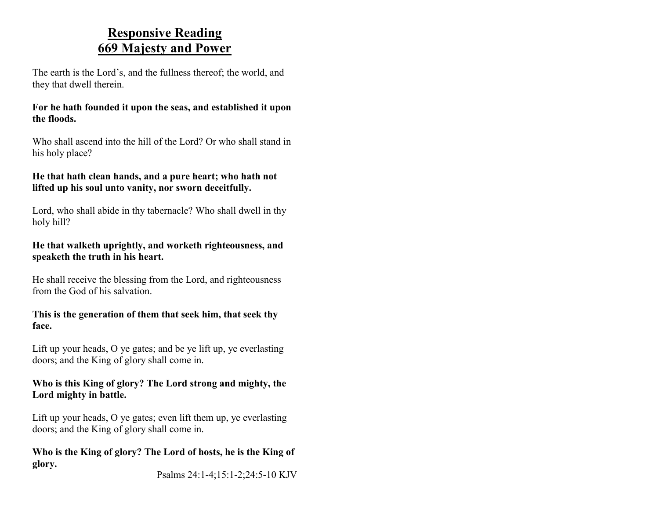### **Responsive Reading 669 Majesty and Power**

The earth is the Lord's, and the fullness thereof; the world, and they that dwell therein.

#### **For he hath founded it upon the seas, and established it upon the floods.**

Who shall ascend into the hill of the Lord? Or who shall stand in his holy place?

#### **He that hath clean hands, and a pure heart; who hath not lifted up his soul unto vanity, nor sworn deceitfully.**

Lord, who shall abide in thy tabernacle? Who shall dwell in thy holy hill?

#### **He that walketh uprightly, and worketh righteousness, and speaketh the truth in his heart.**

He shall receive the blessing from the Lord, and righteousness from the God of his salvation.

#### **This is the generation of them that seek him, that seek thy face.**

Lift up your heads, O ye gates; and be ye lift up, ye everlasting doors; and the King of glory shall come in.

#### **Who is this King of glory? The Lord strong and mighty, the Lord mighty in battle.**

Lift up your heads, O ye gates; even lift them up, ye everlasting doors; and the King of glory shall come in.

#### **Who is the King of glory? The Lord of hosts, he is the King of glory.**

Psalms 24:1-4;15:1-2;24:5-10 KJV